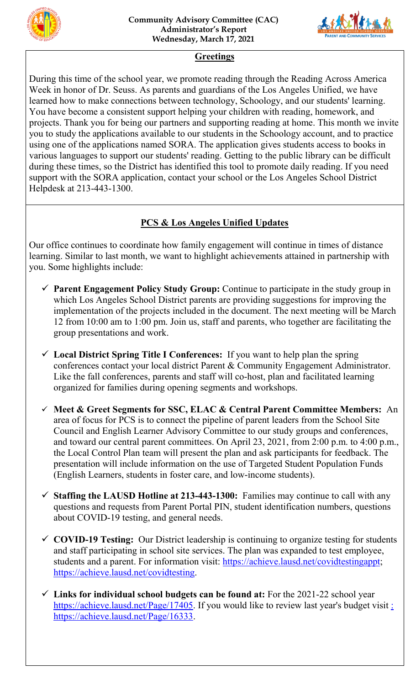



## **Greetings**

During this time of the school year, we promote reading through the Reading Across America Week in honor of Dr. Seuss. As parents and guardians of the Los Angeles Unified, we have learned how to make connections between technology, Schoology, and our students' learning. You have become a consistent support helping your children with reading, homework, and projects. Thank you for being our partners and supporting reading at home. This month we invite you to study the applications available to our students in the Schoology account, and to practice using one of the applications named SORA. The application gives students access to books in various languages to support our students' reading. Getting to the public library can be difficult during these times, so the District has identified this tool to promote daily reading. If you need support with the SORA application, contact your school or the Los Angeles School District Helpdesk at 213-443-1300.

## **PCS & Los Angeles Unified Updates**

Our office continues to coordinate how family engagement will continue in times of distance learning. Similar to last month, we want to highlight achievements attained in partnership with you. Some highlights include:

- **Parent Engagement Policy Study Group:** Continue to participate in the study group in which Los Angeles School District parents are providing suggestions for improving the implementation of the projects included in the document. The next meeting will be March 12 from 10:00 am to 1:00 pm. Join us, staff and parents, who together are facilitating the group presentations and work.
- **Local District Spring Title I Conferences:** If you want to help plan the spring conferences contact your local district Parent & Community Engagement Administrator. Like the fall conferences, parents and staff will co-host, plan and facilitated learning organized for families during opening segments and workshops.
- **Meet & Greet Segments for SSC, ELAC & Central Parent Committee Members:** An area of focus for PCS is to connect the pipeline of parent leaders from the School Site Council and English Learner Advisory Committee to our study groups and conferences, and toward our central parent committees. On April 23, 2021, from 2:00 p.m. to 4:00 p.m., the Local Control Plan team will present the plan and ask participants for feedback. The presentation will include information on the use of Targeted Student Population Funds (English Learners, students in foster care, and low-income students).
- **Staffing the LAUSD Hotline at 213-443-1300:** Families may continue to call with any questions and requests from Parent Portal PIN, student identification numbers, questions about COVID-19 testing, and general needs.
- **COVID-19 Testing:** Our District leadership is continuing to organize testing for students and staff participating in school site services. The plan was expanded to test employee, students and a parent. For information visit: [https://achieve.lausd.net/covidtestingappt;](https://achieve.lausd.net/covidtestingappt) [https://achieve.lausd.net/covidtesting.](https://achieve.lausd.net/covidtesting)
- **Links for individual school budgets can be found at:** For the 2021-22 school year [https://achieve.lausd.net/Page/17405.](https://achieve.lausd.net/Page/17405) If you would like to review last year's budget visit : [https://achieve.lausd.net/Page/16333.](https://achieve.lausd.net/Page/16333)